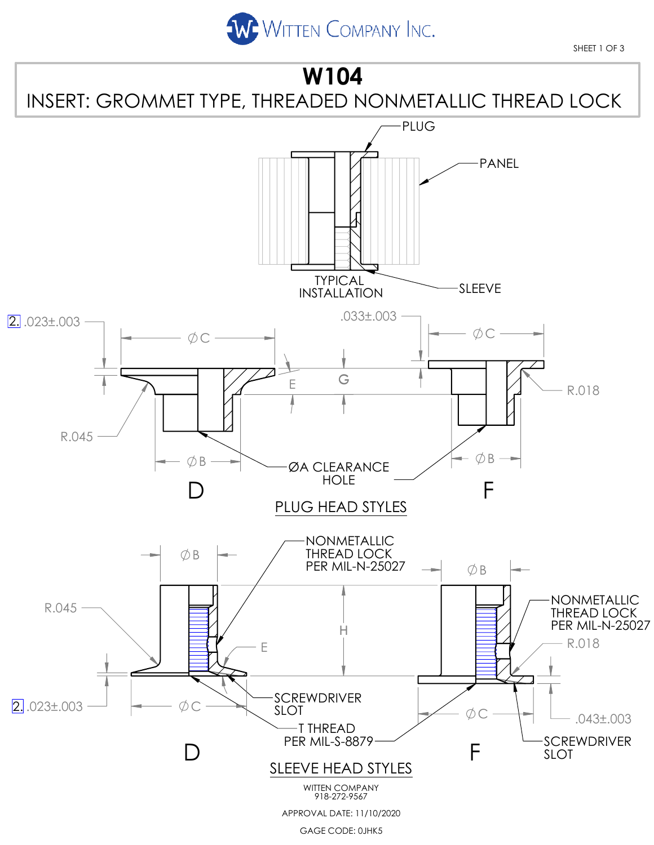

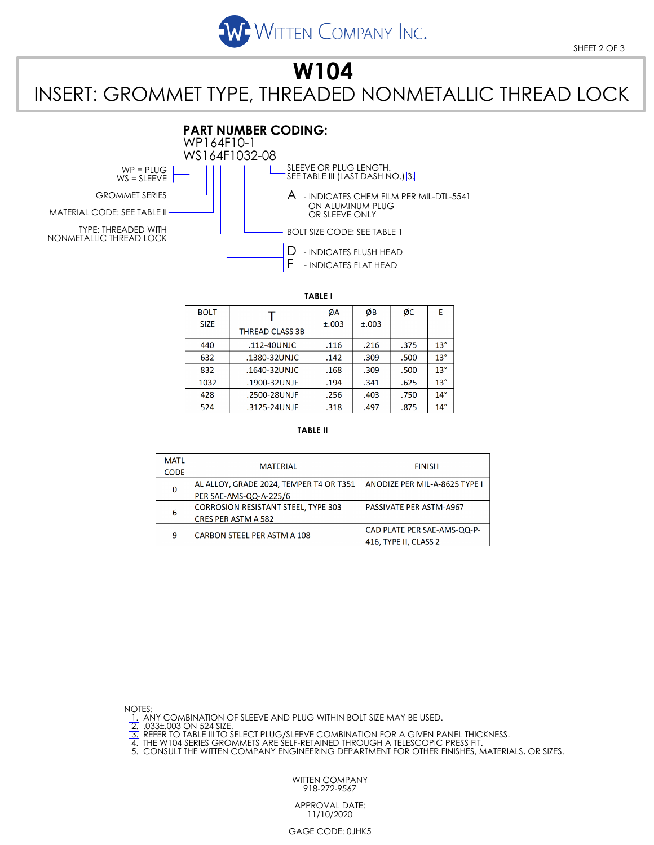

SHEET 2 OF 3

## **W104** INSERT: GROMMET TYPE, THREADED NONMETALLIC THREAD LOCK



**TABLE I**

| <b>BOLT</b> |                        | ØA    | ØΒ    | ØC   | E            |
|-------------|------------------------|-------|-------|------|--------------|
| <b>SIZE</b> | <b>THREAD CLASS 3B</b> | ±.003 | ±.003 |      |              |
| 440         | .112-40UNJC            | .116  | .216  | .375 | $13^\circ$   |
| 632         | .1380-32UNJC           | .142  | .309  | .500 | $13^\circ$   |
| 832         | .1640-32UNJC           | .168  | .309  | .500 | $13^{\circ}$ |
| 1032        | .1900-32UNJF           | .194  | .341  | .625 | $13^{\circ}$ |
| 428         | .2500-28UNJF           | .256  | .403  | .750 | $14^\circ$   |
| 524         | .3125-24UNJF           | .318  | .497  | .875 | $14^\circ$   |

## **TABLE II**

| <b>MATL</b> | <b>MATFRIAL</b>                            | <b>FINISH</b>                 |  |
|-------------|--------------------------------------------|-------------------------------|--|
| <b>CODE</b> |                                            |                               |  |
| 0           | AL ALLOY, GRADE 2024, TEMPER T4 OR T351    | ANODIZE PER MIL-A-8625 TYPE I |  |
|             | PER SAE-AMS-QQ-A-225/6                     |                               |  |
| 6           | <b>CORROSION RESISTANT STEEL, TYPE 303</b> | PASSIVATE PER ASTM-A967       |  |
|             | <b>CRES PER ASTM A 582</b>                 |                               |  |
| 9           | CARBON STEEL PER ASTM A 108                | CAD PLATE PER SAE-AMS-QQ-P-   |  |
|             |                                            | 416, TYPE II, CLASS 2         |  |

NOTES:

1. ANY COMBINATION OF SLEEVE AND PLUG WITHIN BOLT SIZE MAY BE USED.<br>[2] .033±.003 ON 524 SIZE.<br>[3] REFER TO TABLE III TO SELECT PLUG/SLEEVE COMBINATION FOR A GIVEN PANEL THICKNESS.<br>4. THE W104 SERIES GROMMETS ARE SELF-RETA

WITTEN COMPANY 918-272-9567

APPROVAL DATE: 11/10/2020

GAGE CODE: 0JHK5